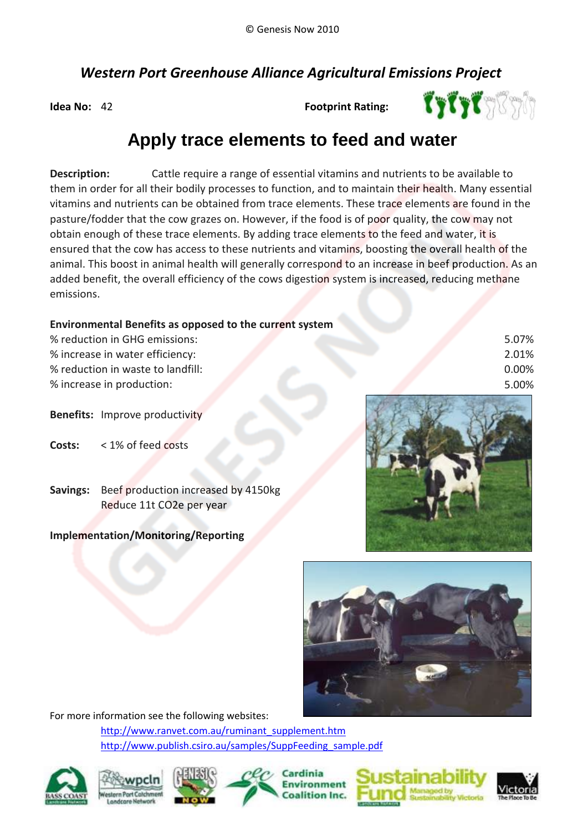## *Western Port Greenhouse Alliance Agricultural Emissions Project*

**Idea No:** 42

**Footprint Rating:**



5.07% 2.01% 0.00% 5.00%

# **Apply trace elements to feed and water**

**Description:**  emissions. added benefit, the overall efficiency of the cows digestion system is increased, reducing methane Cattle require a range of essential vitamins and nutrients to be available to them in order for all their bodily processes to function, and to maintain their health. Many essential animal. This boost in animal health will generally correspond to an increase in beef production. As an vitamins and nutrients can be obtained from trace elements. These trace elements are found in the pasture/fodder that the cow grazes on. However, if the food is of poor quality, the cow may not obtain enough of these trace elements. By adding trace elements to the feed and water, it is ensured that the cow has access to these nutrients and vitamins, boosting the overall health of the

#### **Environmental Benefits as opposed to the current system**

- **Benefits:** Improve productivity
- **Costs:** < 1% of feed costs
- **Savings:** Beef production increased by 4150kg Reduce 11t CO2e per year

### **Implementation/Monitoring/Reporting**





For more information see the following websites:

[http://www.ranvet.com.au/ruminant\\_supplement.htm](http://www.ranvet.com.au/ruminant_supplement.htm) http://www.publish.csiro.au/samples/SuppFeeding\_sample.pdf







Cardinia Environment alition Inc.